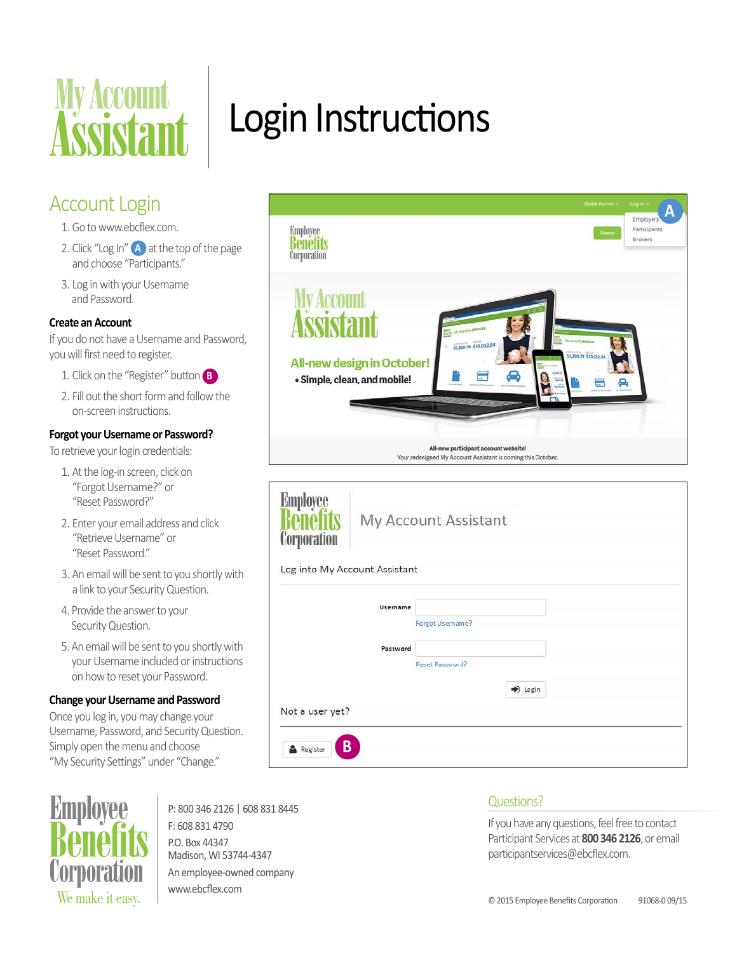

## Account Login

- 1. Go to www.ebcflex.com.
- 2. Click "Log In" **A** at the top of the page and choose "Participants."
- 3. Log in with your Username and Password.

### **Create an Account**

If you do not have a Username and Password, you will first need to register.

- 1. Click on the "Register" button **B** .
- 2. Fill out the short form and follow the on-screen instructions.

#### **Forgot your Username or Password?**

To retrieve your login credentials:

- 1. At the log-in screen, click on "Forgot Username?" or "Reset Password?"
- 2. Enter your email address and click "Retrieve Username" or "Reset Password."
- 3. An email will be sent to you shortly with a link to your Security Question.
- 4. Provide the answer to your Security Question.
- 5. An email will be sent to you shortly with your Username included or instructions on how to reset your Password.

#### **Change your Username and Password**

Once you log in, you may change your Username, Password, and Security Question. Simply open the menu and choose "My Security Settings" under "Change."



P: 800 346 2126 | 608 831 8445 F: 608 831 4790 P.O. Box 44347 Madison, WI 53744-4347 An employee-owned company www.ebcflex.com

# Login Instructions



| <b>Employee</b><br><b>Corporation</b> |          | My Account Assistant |         |  |
|---------------------------------------|----------|----------------------|---------|--|
| Log into My Account Assistant         |          |                      |         |  |
|                                       | Username |                      |         |  |
|                                       |          | Forgot Username?     |         |  |
|                                       | Password |                      |         |  |
|                                       |          | Reset Password?      |         |  |
|                                       |          |                      | D Login |  |
| Not a user yet?                       |          |                      |         |  |
|                                       |          |                      |         |  |
| B<br>Register                         |          |                      |         |  |
|                                       |          |                      |         |  |

## Questions?

If you have any questions, feel free to contact Participant Services at **800 346 2126**, or email participantservices@ebcflex.com.